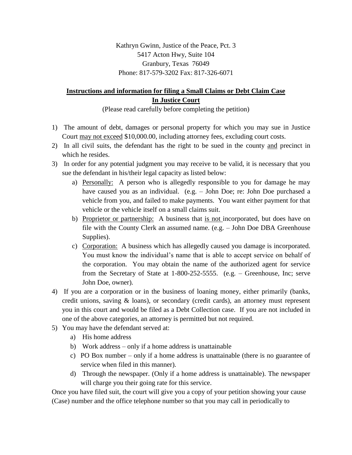Kathryn Gwinn, Justice of the Peace, Pct. 3 5417 Acton Hwy, Suite 104 Granbury, Texas 76049 Phone: 817-579-3202 Fax: 817-326-6071

## **Instructions and information for filing a Small Claims or Debt Claim Case In Justice Court**

(Please read carefully before completing the petition)

- 1) The amount of debt, damages or personal property for which you may sue in Justice Court may not exceed \$10,000.00, including attorney fees, excluding court costs.
- 2) In all civil suits, the defendant has the right to be sued in the county and precinct in which he resides.
- 3) In order for any potential judgment you may receive to be valid, it is necessary that you sue the defendant in his/their legal capacity as listed below:
	- a) Personally: A person who is allegedly responsible to you for damage he may have caused you as an individual. (e.g. - John Doe; re: John Doe purchased a vehicle from you, and failed to make payments. You want either payment for that vehicle or the vehicle itself on a small claims suit.
	- b) Proprietor or partnership: A business that is not incorporated, but does have on file with the County Clerk an assumed name. (e.g. – John Doe DBA Greenhouse Supplies).
	- c) Corporation: A business which has allegedly caused you damage is incorporated. You must know the individual's name that is able to accept service on behalf of the corporation. You may obtain the name of the authorized agent for service from the Secretary of State at 1-800-252-5555. (e.g. – Greenhouse, Inc; serve John Doe, owner).
- 4) If you are a corporation or in the business of loaning money, either primarily (banks, credit unions, saving & loans), or secondary (credit cards), an attorney must represent you in this court and would be filed as a Debt Collection case. If you are not included in one of the above categories, an attorney is permitted but not required.
- 5) You may have the defendant served at:
	- a) His home address
	- b) Work address only if a home address is unattainable
	- c) PO Box number only if a home address is unattainable (there is no guarantee of service when filed in this manner).
	- d) Through the newspaper. (Only if a home address is unattainable). The newspaper will charge you their going rate for this service.

 Once you have filed suit, the court will give you a copy of your petition showing your cause (Case) number and the office telephone number so that you may call in periodically to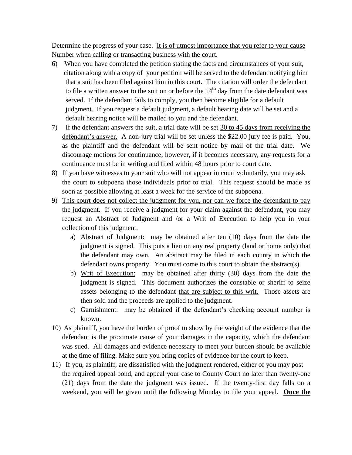Determine the progress of your case. It is of utmost importance that you refer to your cause Number when calling or transacting business with the court.

- 6) When you have completed the petition stating the facts and circumstances of your suit, citation along with a copy of your petition will be served to the defendant notifying him that a suit has been filed against him in this court. The citation will order the defendant to file a written answer to the suit on or before the  $14<sup>th</sup>$  day from the date defendant was served. If the defendant fails to comply, you then become eligible for a default judgment. If you request a default judgment, a default hearing date will be set and a default hearing notice will be mailed to you and the defendant.
- 7) If the defendant answers the suit, a trial date will be set 30 to 45 days from receiving the defendant's answer. A non-jury trial will be set unless the \$22.00 jury fee is paid. You, as the plaintiff and the defendant will be sent notice by mail of the trial date. We discourage motions for continuance; however, if it becomes necessary, any requests for a continuance must be in writing and filed within 48 hours prior to court date.
- 8) If you have witnesses to your suit who will not appear in court voluntarily, you may ask the court to subpoena those individuals prior to trial. This request should be made as soon as possible allowing at least a week for the service of the subpoena.
- 9) This court does not collect the judgment for you, nor can we force the defendant to pay the judgment. If you receive a judgment for your claim against the defendant, you may request an Abstract of Judgment and /or a Writ of Execution to help you in your collection of this judgment.
	- a) Abstract of Judgment: may be obtained after ten (10) days from the date the judgment is signed. This puts a lien on any real property (land or home only) that the defendant may own. An abstract may be filed in each county in which the defendant owns property. You must come to this court to obtain the abstract(s).
	- b) Writ of Execution: may be obtained after thirty (30) days from the date the judgment is signed. This document authorizes the constable or sheriff to seize assets belonging to the defendant that are subject to this writ. Those assets are then sold and the proceeds are applied to the judgment.
	- c) Garnishment: may be obtained if the defendant's checking account number is known.
- 10) As plaintiff, you have the burden of proof to show by the weight of the evidence that the defendant is the proximate cause of your damages in the capacity, which the defendant was sued. All damages and evidence necessary to meet your burden should be available at the time of filing. Make sure you bring copies of evidence for the court to keep.
- 11) If you, as plaintiff, are dissatisfied with the judgment rendered, either of you may post the required appeal bond, and appeal your case to County Court no later than twenty-one (21) days from the date the judgment was issued. If the twenty-first day falls on a weekend, you will be given until the following Monday to file your appeal. **Once the**